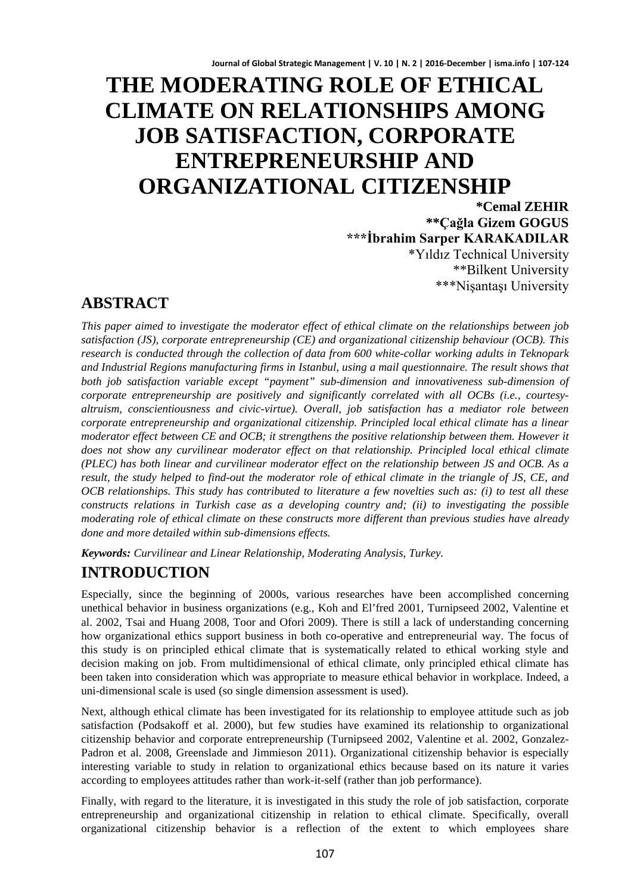# **THE MODERATING ROLE OF ETHICAL CLIMATE ON RELATIONSHIPS AMONG JOB SATISFACTION, CORPORATE ENTREPRENEURSHIP AND ORGANIZATIONAL CITIZENSHIP**

**\*Cemal ZEHIR \*\*Çağla Gizem GOGUS \*\*\*İbrahim Sarper KARAKADILAR** \*Yıldız Technical University \*\*Bilkent University \*\*\*Nişantaşı University

# **ABSTRACT**

*This paper aimed to investigate the moderator effect of ethical climate on the relationships between job satisfaction (JS), corporate entrepreneurship (CE) and organizational citizenship behaviour (OCB). This research is conducted through the collection of data from 600 white-collar working adults in Teknopark and Industrial Regions manufacturing firms in Istanbul, using a mail questionnaire. The result shows that both job satisfaction variable except "payment" sub-dimension and innovativeness sub-dimension of corporate entrepreneurship are positively and significantly correlated with all OCBs (i.e., courtesyaltruism, conscientiousness and civic-virtue). Overall, job satisfaction has a mediator role between corporate entrepreneurship and organizational citizenship. Principled local ethical climate has a linear moderator effect between CE and OCB; it strengthens the positive relationship between them. However it does not show any curvilinear moderator effect on that relationship. Principled local ethical climate (PLEC) has both linear and curvilinear moderator effect on the relationship between JS and OCB. As a result, the study helped to find-out the moderator role of ethical climate in the triangle of JS, CE, and OCB relationships. This study has contributed to literature a few novelties such as: (i) to test all these constructs relations in Turkish case as a developing country and; (ii) to investigating the possible moderating role of ethical climate on these constructs more different than previous studies have already done and more detailed within sub-dimensions effects.*

*Keywords: Curvilinear and Linear Relationship, Moderating Analysis, Turkey.*

# **INTRODUCTION**

Especially, since the beginning of 2000s, various researches have been accomplished concerning unethical behavior in business organizations (e.g., Koh and El'fred 2001, Turnipseed 2002, Valentine et al. 2002, Tsai and Huang 2008, Toor and Ofori 2009). There is still a lack of understanding concerning how organizational ethics support business in both co-operative and entrepreneurial way. The focus of this study is on principled ethical climate that is systematically related to ethical working style and decision making on job. From multidimensional of ethical climate, only principled ethical climate has been taken into consideration which was appropriate to measure ethical behavior in workplace. Indeed, a uni-dimensional scale is used (so single dimension assessment is used).

Next, although ethical climate has been investigated for its relationship to employee attitude such as job satisfaction (Podsakoff et al. 2000), but few studies have examined its relationship to organizational citizenship behavior and corporate entrepreneurship (Turnipseed 2002, Valentine et al. 2002, Gonzalez-Padron et al. 2008, Greenslade and Jimmieson 2011). Organizational citizenship behavior is especially interesting variable to study in relation to organizational ethics because based on its nature it varies according to employees attitudes rather than work-it-self (rather than job performance).

Finally, with regard to the literature, it is investigated in this study the role of job satisfaction, corporate entrepreneurship and organizational citizenship in relation to ethical climate. Specifically, overall organizational citizenship behavior is a reflection of the extent to which employees share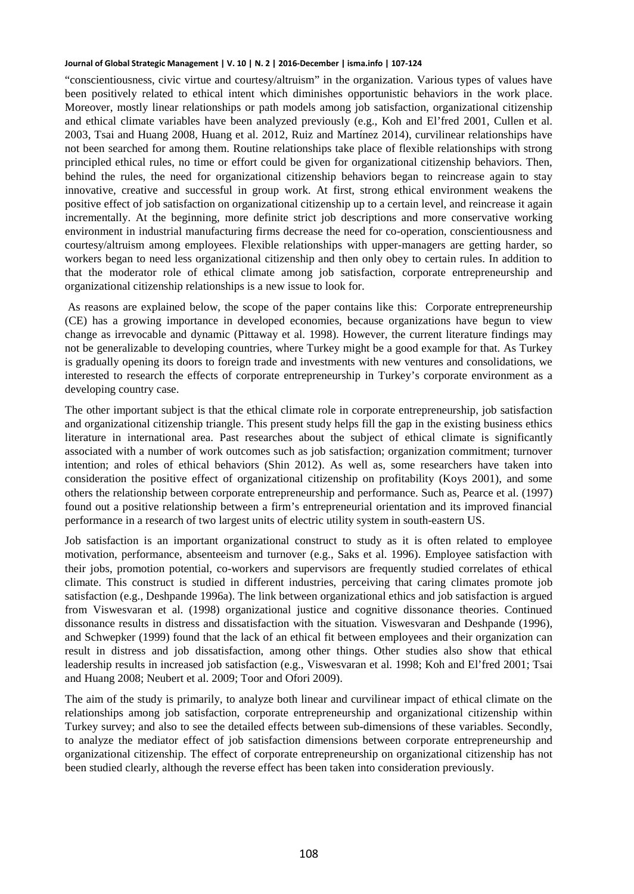"conscientiousness, civic virtue and courtesy/altruism" in the organization. Various types of values have been positively related to ethical intent which diminishes opportunistic behaviors in the work place. Moreover, mostly linear relationships or path models among job satisfaction, organizational citizenship and ethical climate variables have been analyzed previously (e.g., Koh and El'fred 2001, Cullen et al. 2003, Tsai and Huang 2008, Huang et al. 2012, Ruiz and Martínez 2014), curvilinear relationships have not been searched for among them. Routine relationships take place of flexible relationships with strong principled ethical rules, no time or effort could be given for organizational citizenship behaviors. Then, behind the rules, the need for organizational citizenship behaviors began to reincrease again to stay innovative, creative and successful in group work. At first, strong ethical environment weakens the positive effect of job satisfaction on organizational citizenship up to a certain level, and reincrease it again incrementally. At the beginning, more definite strict job descriptions and more conservative working environment in industrial manufacturing firms decrease the need for co-operation, conscientiousness and courtesy/altruism among employees. Flexible relationships with upper-managers are getting harder, so workers began to need less organizational citizenship and then only obey to certain rules. In addition to that the moderator role of ethical climate among job satisfaction, corporate entrepreneurship and organizational citizenship relationships is a new issue to look for.

As reasons are explained below, the scope of the paper contains like this: Corporate entrepreneurship (CE) has a growing importance in developed economies, because organizations have begun to view change as irrevocable and dynamic (Pittaway et al. 1998). However, the current literature findings may not be generalizable to developing countries, where Turkey might be a good example for that. As Turkey is gradually opening its doors to foreign trade and investments with new ventures and consolidations, we interested to research the effects of corporate entrepreneurship in Turkey's corporate environment as a developing country case.

The other important subject is that the ethical climate role in corporate entrepreneurship, job satisfaction and organizational citizenship triangle. This present study helps fill the gap in the existing business ethics literature in international area. Past researches about the subject of ethical climate is significantly associated with a number of work outcomes such as job satisfaction; organization commitment; turnover intention; and roles of ethical behaviors (Shin 2012). As well as, some researchers have taken into consideration the positive effect of organizational citizenship on profitability (Koys 2001), and some others the relationship between corporate entrepreneurship and performance. Such as, Pearce et al. (1997) found out a positive relationship between a firm's entrepreneurial orientation and its improved financial performance in a research of two largest units of electric utility system in south-eastern US.

Job satisfaction is an important organizational construct to study as it is often related to employee motivation, performance, absenteeism and turnover (e.g., Saks et al. 1996). Employee satisfaction with their jobs, promotion potential, co-workers and supervisors are frequently studied correlates of ethical climate. This construct is studied in different industries, perceiving that caring climates promote job satisfaction (e.g., Deshpande 1996a). The link between organizational ethics and job satisfaction is argued from Viswesvaran et al. (1998) organizational justice and cognitive dissonance theories. Continued dissonance results in distress and dissatisfaction with the situation. Viswesvaran and Deshpande (1996), and Schwepker (1999) found that the lack of an ethical fit between employees and their organization can result in distress and job dissatisfaction, among other things. Other studies also show that ethical leadership results in increased job satisfaction (e.g., Viswesvaran et al. 1998; Koh and El'fred 2001; Tsai and Huang 2008; Neubert et al. 2009; Toor and Ofori 2009).

The aim of the study is primarily, to analyze both linear and curvilinear impact of ethical climate on the relationships among job satisfaction, corporate entrepreneurship and organizational citizenship within Turkey survey; and also to see the detailed effects between sub-dimensions of these variables. Secondly, to analyze the mediator effect of job satisfaction dimensions between corporate entrepreneurship and organizational citizenship. The effect of corporate entrepreneurship on organizational citizenship has not been studied clearly, although the reverse effect has been taken into consideration previously.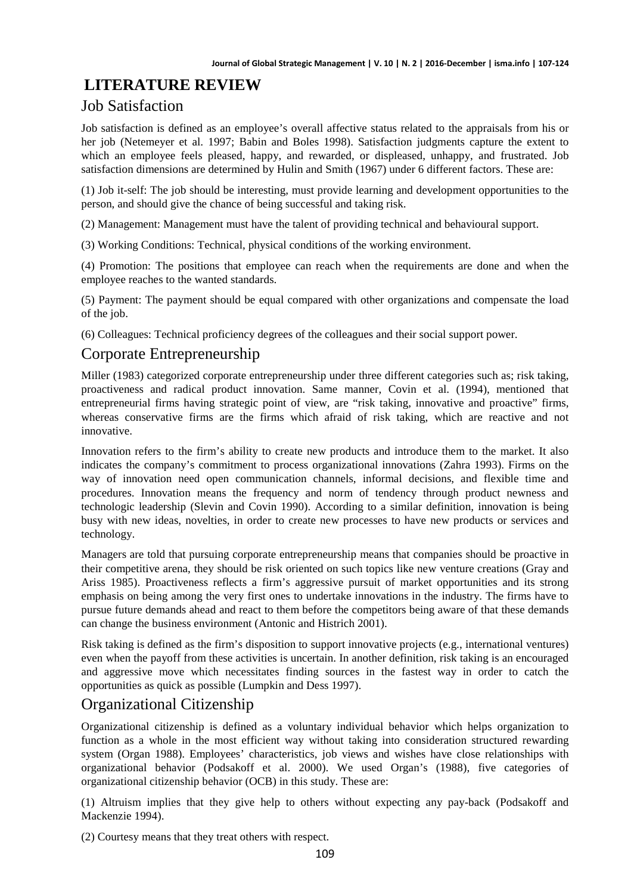# **LITERATURE REVIEW**

### Job Satisfaction

Job satisfaction is defined as an employee's overall affective status related to the appraisals from his or her job (Netemeyer et al. 1997; Babin and Boles 1998). Satisfaction judgments capture the extent to which an employee feels pleased, happy, and rewarded, or displeased, unhappy, and frustrated. Job satisfaction dimensions are determined by Hulin and Smith (1967) under 6 different factors. These are:

(1) Job it-self: The job should be interesting, must provide learning and development opportunities to the person, and should give the chance of being successful and taking risk.

(2) Management: Management must have the talent of providing technical and behavioural support.

(3) Working Conditions: Technical, physical conditions of the working environment.

(4) Promotion: The positions that employee can reach when the requirements are done and when the employee reaches to the wanted standards.

(5) Payment: The payment should be equal compared with other organizations and compensate the load of the job.

(6) Colleagues: Technical proficiency degrees of the colleagues and their social support power.

### Corporate Entrepreneurship

Miller (1983) categorized corporate entrepreneurship under three different categories such as; risk taking, proactiveness and radical product innovation. Same manner, Covin et al. (1994), mentioned that entrepreneurial firms having strategic point of view, are "risk taking, innovative and proactive" firms, whereas conservative firms are the firms which afraid of risk taking, which are reactive and not innovative.

Innovation refers to the firm's ability to create new products and introduce them to the market. It also indicates the company's commitment to process organizational innovations (Zahra 1993). Firms on the way of innovation need open communication channels, informal decisions, and flexible time and procedures. Innovation means the frequency and norm of tendency through product newness and technologic leadership (Slevin and Covin 1990). According to a similar definition, innovation is being busy with new ideas, novelties, in order to create new processes to have new products or services and technology.

Managers are told that pursuing corporate entrepreneurship means that companies should be proactive in their competitive arena, they should be risk oriented on such topics like new venture creations (Gray and Ariss 1985). Proactiveness reflects a firm's aggressive pursuit of market opportunities and its strong emphasis on being among the very first ones to undertake innovations in the industry. The firms have to pursue future demands ahead and react to them before the competitors being aware of that these demands can change the business environment (Antonic and Histrich 2001).

Risk taking is defined as the firm's disposition to support innovative projects (e.g., international ventures) even when the payoff from these activities is uncertain. In another definition, risk taking is an encouraged and aggressive move which necessitates finding sources in the fastest way in order to catch the opportunities as quick as possible (Lumpkin and Dess 1997).

### Organizational Citizenship

Organizational citizenship is defined as a voluntary individual behavior which helps organization to function as a whole in the most efficient way without taking into consideration structured rewarding system (Organ 1988). Employees' characteristics, job views and wishes have close relationships with organizational behavior (Podsakoff et al. 2000). We used Organ's (1988), five categories of organizational citizenship behavior (OCB) in this study. These are:

(1) Altruism implies that they give help to others without expecting any pay-back (Podsakoff and Mackenzie 1994).

(2) Courtesy means that they treat others with respect.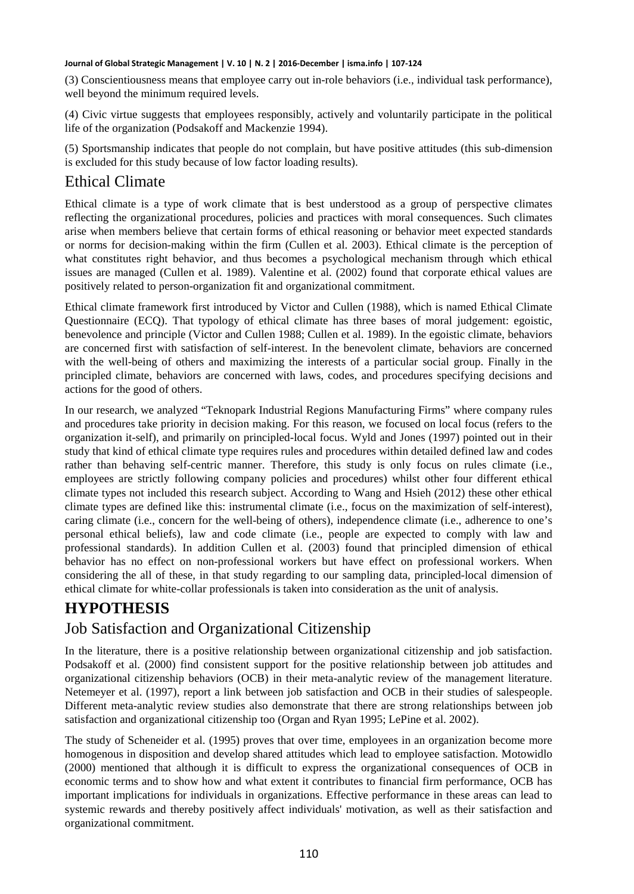(3) Conscientiousness means that employee carry out in-role behaviors (i.e., individual task performance), well beyond the minimum required levels.

(4) Civic virtue suggests that employees responsibly, actively and voluntarily participate in the political life of the organization (Podsakoff and Mackenzie 1994).

(5) Sportsmanship indicates that people do not complain, but have positive attitudes (this sub-dimension is excluded for this study because of low factor loading results).

### Ethical Climate

Ethical climate is a type of work climate that is best understood as a group of perspective climates reflecting the organizational procedures, policies and practices with moral consequences. Such climates arise when members believe that certain forms of ethical reasoning or behavior meet expected standards or norms for decision-making within the firm (Cullen et al. 2003). Ethical climate is the perception of what constitutes right behavior, and thus becomes a psychological mechanism through which ethical issues are managed (Cullen et al. 1989). Valentine et al. (2002) found that corporate ethical values are positively related to person-organization fit and organizational commitment.

Ethical climate framework first introduced by Victor and Cullen (1988), which is named Ethical Climate Questionnaire (ECQ). That typology of ethical climate has three bases of moral judgement: egoistic, benevolence and principle (Victor and Cullen 1988; Cullen et al. 1989). In the egoistic climate, behaviors are concerned first with satisfaction of self-interest. In the benevolent climate, behaviors are concerned with the well-being of others and maximizing the interests of a particular social group. Finally in the principled climate, behaviors are concerned with laws, codes, and procedures specifying decisions and actions for the good of others.

In our research, we analyzed "Teknopark Industrial Regions Manufacturing Firms" where company rules and procedures take priority in decision making. For this reason, we focused on local focus (refers to the organization it-self), and primarily on principled-local focus. Wyld and Jones (1997) pointed out in their study that kind of ethical climate type requires rules and procedures within detailed defined law and codes rather than behaving self-centric manner. Therefore, this study is only focus on rules climate (i.e., employees are strictly following company policies and procedures) whilst other four different ethical climate types not included this research subject. According to Wang and Hsieh (2012) these other ethical climate types are defined like this: instrumental climate (i.e., focus on the maximization of self-interest), caring climate (i.e., concern for the well-being of others), independence climate (i.e., adherence to one's personal ethical beliefs), law and code climate (i.e., people are expected to comply with law and professional standards). In addition Cullen et al. (2003) found that principled dimension of ethical behavior has no effect on non-professional workers but have effect on professional workers. When considering the all of these, in that study regarding to our sampling data, principled-local dimension of ethical climate for white-collar professionals is taken into consideration as the unit of analysis.

# **HYPOTHESIS**

# Job Satisfaction and Organizational Citizenship

In the literature, there is a positive relationship between organizational citizenship and job satisfaction. Podsakoff et al. (2000) find consistent support for the positive relationship between job attitudes and organizational citizenship behaviors (OCB) in their meta-analytic review of the management literature. Netemeyer et al. (1997), report a link between job satisfaction and OCB in their studies of salespeople. Different meta-analytic review studies also demonstrate that there are strong relationships between job satisfaction and organizational citizenship too (Organ and Ryan 1995; LePine et al. 2002).

The study of Scheneider et al. (1995) proves that over time, employees in an organization become more homogenous in disposition and develop shared attitudes which lead to employee satisfaction. Motowidlo (2000) mentioned that although it is difficult to express the organizational consequences of OCB in economic terms and to show how and what extent it contributes to financial firm performance, OCB has important implications for individuals in organizations. Effective performance in these areas can lead to systemic rewards and thereby positively affect individuals' motivation, as well as their satisfaction and organizational commitment.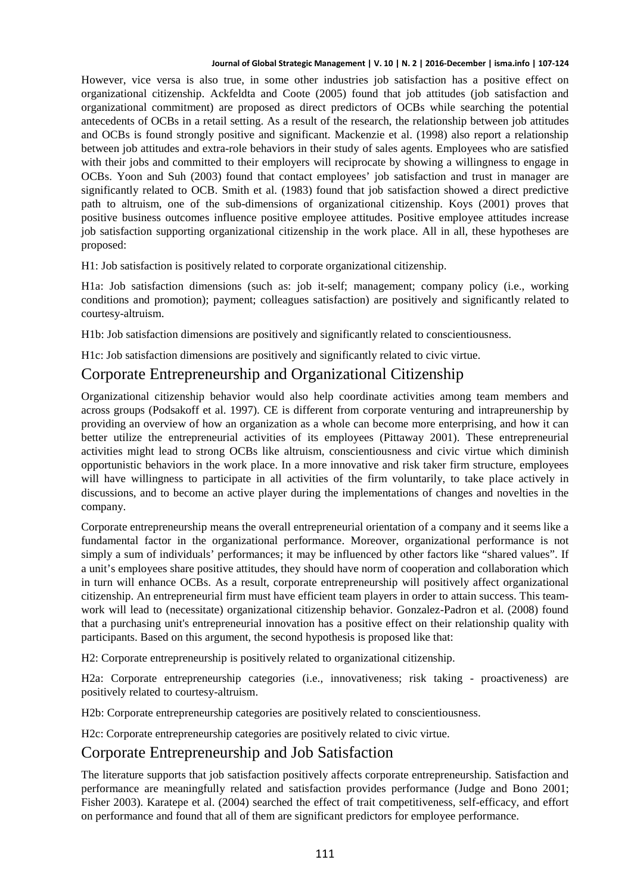However, vice versa is also true, in some other industries job satisfaction has a positive effect on organizational citizenship. Ackfeldta and Coote (2005) found that job attitudes (job satisfaction and organizational commitment) are proposed as direct predictors of OCBs while searching the potential antecedents of OCBs in a retail setting. As a result of the research, the relationship between job attitudes and OCBs is found strongly positive and significant. Mackenzie et al. (1998) also report a relationship between job attitudes and extra-role behaviors in their study of sales agents. Employees who are satisfied with their jobs and committed to their employers will reciprocate by showing a willingness to engage in OCBs. Yoon and Suh (2003) found that contact employees' job satisfaction and trust in manager are significantly related to OCB. Smith et al. (1983) found that job satisfaction showed a direct predictive path to altruism, one of the sub-dimensions of organizational citizenship. Koys (2001) proves that positive business outcomes influence positive employee attitudes. Positive employee attitudes increase job satisfaction supporting organizational citizenship in the work place. All in all, these hypotheses are proposed:

H1: Job satisfaction is positively related to corporate organizational citizenship.

H1a: Job satisfaction dimensions (such as: job it-self; management; company policy (i.e., working conditions and promotion); payment; colleagues satisfaction) are positively and significantly related to courtesy-altruism.

H1b: Job satisfaction dimensions are positively and significantly related to conscientiousness.

H1c: Job satisfaction dimensions are positively and significantly related to civic virtue.

### Corporate Entrepreneurship and Organizational Citizenship

Organizational citizenship behavior would also help coordinate activities among team members and across groups (Podsakoff et al. 1997). CE is different from corporate venturing and intrapreunership by providing an overview of how an organization as a whole can become more enterprising, and how it can better utilize the entrepreneurial activities of its employees (Pittaway 2001). These entrepreneurial activities might lead to strong OCBs like altruism, conscientiousness and civic virtue which diminish opportunistic behaviors in the work place. In a more innovative and risk taker firm structure, employees will have willingness to participate in all activities of the firm voluntarily, to take place actively in discussions, and to become an active player during the implementations of changes and novelties in the company.

Corporate entrepreneurship means the overall entrepreneurial orientation of a company and it seems like a fundamental factor in the organizational performance. Moreover, organizational performance is not simply a sum of individuals' performances; it may be influenced by other factors like "shared values". If a unit's employees share positive attitudes, they should have norm of cooperation and collaboration which in turn will enhance OCBs. As a result, corporate entrepreneurship will positively affect organizational citizenship. An entrepreneurial firm must have efficient team players in order to attain success. This teamwork will lead to (necessitate) organizational citizenship behavior. Gonzalez-Padron et al. (2008) found that a purchasing unit's entrepreneurial innovation has a positive effect on their relationship quality with participants. Based on this argument, the second hypothesis is proposed like that:

H2: Corporate entrepreneurship is positively related to organizational citizenship.

H2a: Corporate entrepreneurship categories (i.e., innovativeness; risk taking - proactiveness) are positively related to courtesy-altruism.

H2b: Corporate entrepreneurship categories are positively related to conscientiousness.

H2c: Corporate entrepreneurship categories are positively related to civic virtue.

### Corporate Entrepreneurship and Job Satisfaction

The literature supports that job satisfaction positively affects corporate entrepreneurship. Satisfaction and performance are meaningfully related and satisfaction provides performance (Judge and Bono 2001; Fisher 2003). Karatepe et al. (2004) searched the effect of trait competitiveness, self-efficacy, and effort on performance and found that all of them are significant predictors for employee performance.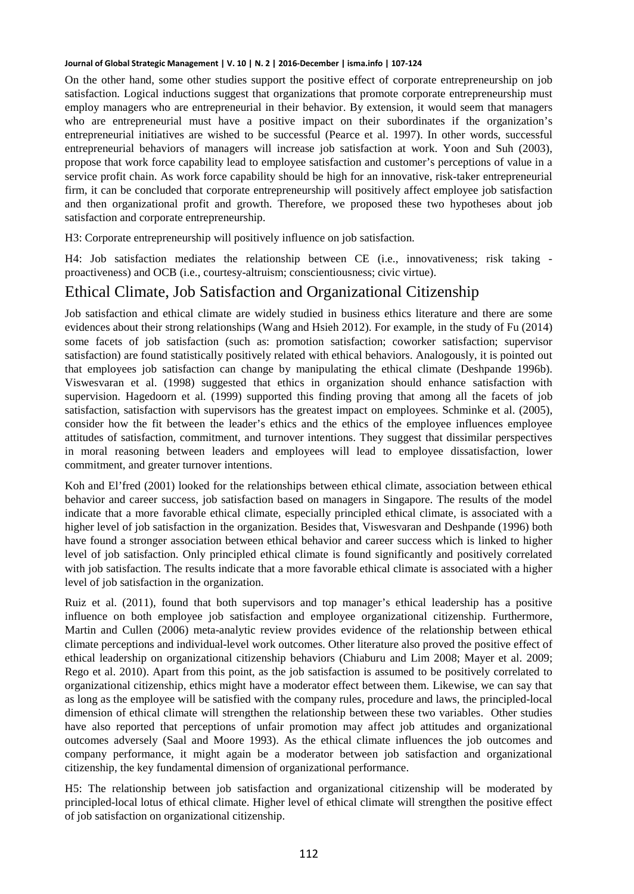On the other hand, some other studies support the positive effect of corporate entrepreneurship on job satisfaction. Logical inductions suggest that organizations that promote corporate entrepreneurship must employ managers who are entrepreneurial in their behavior. By extension, it would seem that managers who are entrepreneurial must have a positive impact on their subordinates if the organization's entrepreneurial initiatives are wished to be successful (Pearce et al. 1997). In other words, successful entrepreneurial behaviors of managers will increase job satisfaction at work. Yoon and Suh (2003), propose that work force capability lead to employee satisfaction and customer's perceptions of value in a service profit chain. As work force capability should be high for an innovative, risk-taker entrepreneurial firm, it can be concluded that corporate entrepreneurship will positively affect employee job satisfaction and then organizational profit and growth. Therefore, we proposed these two hypotheses about job satisfaction and corporate entrepreneurship.

H3: Corporate entrepreneurship will positively influence on job satisfaction.

H4: Job satisfaction mediates the relationship between CE (i.e., innovativeness; risk taking proactiveness) and OCB (i.e., courtesy-altruism; conscientiousness; civic virtue).

# Ethical Climate, Job Satisfaction and Organizational Citizenship

Job satisfaction and ethical climate are widely studied in business ethics literature and there are some evidences about their strong relationships (Wang and Hsieh 2012). For example, in the study of Fu (2014) some facets of job satisfaction (such as: promotion satisfaction; coworker satisfaction; supervisor satisfaction) are found statistically positively related with ethical behaviors. Analogously, it is pointed out that employees job satisfaction can change by manipulating the ethical climate (Deshpande 1996b). Viswesvaran et al. (1998) suggested that ethics in organization should enhance satisfaction with supervision. Hagedoorn et al. (1999) supported this finding proving that among all the facets of job satisfaction, satisfaction with supervisors has the greatest impact on employees. Schminke et al. (2005), consider how the fit between the leader's ethics and the ethics of the employee influences employee attitudes of satisfaction, commitment, and turnover intentions. They suggest that dissimilar perspectives in moral reasoning between leaders and employees will lead to employee dissatisfaction, lower commitment, and greater turnover intentions.

Koh and El'fred (2001) looked for the relationships between ethical climate, association between ethical behavior and career success, job satisfaction based on managers in Singapore. The results of the model indicate that a more favorable ethical climate, especially principled ethical climate, is associated with a higher level of job satisfaction in the organization. Besides that, Viswesvaran and Deshpande (1996) both have found a stronger association between ethical behavior and career success which is linked to higher level of job satisfaction. Only principled ethical climate is found significantly and positively correlated with job satisfaction. The results indicate that a more favorable ethical climate is associated with a higher level of job satisfaction in the organization.

Ruiz et al. (2011), found that both supervisors and top manager's ethical leadership has a positive influence on both employee job satisfaction and employee organizational citizenship. Furthermore, Martin and Cullen (2006) meta-analytic review provides evidence of the relationship between ethical climate perceptions and individual-level work outcomes. Other literature also proved the positive effect of ethical leadership on organizational citizenship behaviors (Chiaburu and Lim 2008; Mayer et al. 2009; Rego et al. 2010). Apart from this point, as the job satisfaction is assumed to be positively correlated to organizational citizenship, ethics might have a moderator effect between them. Likewise, we can say that as long as the employee will be satisfied with the company rules, procedure and laws, the principled-local dimension of ethical climate will strengthen the relationship between these two variables. Other studies have also reported that perceptions of unfair promotion may affect job attitudes and organizational outcomes adversely (Saal and Moore 1993). As the ethical climate influences the job outcomes and company performance, it might again be a moderator between job satisfaction and organizational citizenship, the key fundamental dimension of organizational performance.

H5: The relationship between job satisfaction and organizational citizenship will be moderated by principled-local lotus of ethical climate. Higher level of ethical climate will strengthen the positive effect of job satisfaction on organizational citizenship.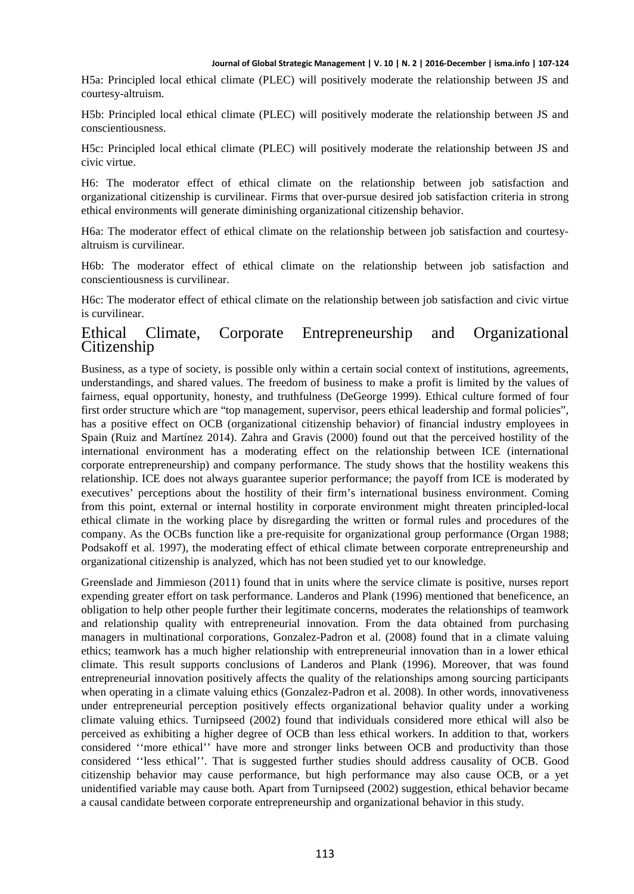H5a: Principled local ethical climate (PLEC) will positively moderate the relationship between JS and courtesy-altruism.

H5b: Principled local ethical climate (PLEC) will positively moderate the relationship between JS and conscientiousness.

H5c: Principled local ethical climate (PLEC) will positively moderate the relationship between JS and civic virtue.

H6: The moderator effect of ethical climate on the relationship between job satisfaction and organizational citizenship is curvilinear. Firms that over-pursue desired job satisfaction criteria in strong ethical environments will generate diminishing organizational citizenship behavior.

H6a: The moderator effect of ethical climate on the relationship between job satisfaction and courtesyaltruism is curvilinear.

H6b: The moderator effect of ethical climate on the relationship between job satisfaction and conscientiousness is curvilinear.

H6c: The moderator effect of ethical climate on the relationship between job satisfaction and civic virtue is curvilinear.

#### Ethical Climate, Corporate Entrepreneurship and Organizational **Citizenship**

Business, as a type of society, is possible only within a certain social context of institutions, agreements, understandings, and shared values. The freedom of business to make a profit is limited by the values of fairness, equal opportunity, honesty, and truthfulness (DeGeorge 1999). Ethical culture formed of four first order structure which are "top management, supervisor, peers ethical leadership and formal policies", has a positive effect on OCB (organizational citizenship behavior) of financial industry employees in Spain (Ruiz and Martínez 2014). Zahra and Gravis (2000) found out that the perceived hostility of the international environment has a moderating effect on the relationship between ICE (international corporate entrepreneurship) and company performance. The study shows that the hostility weakens this relationship. ICE does not always guarantee superior performance; the payoff from ICE is moderated by executives' perceptions about the hostility of their firm's international business environment. Coming from this point, external or internal hostility in corporate environment might threaten principled-local ethical climate in the working place by disregarding the written or formal rules and procedures of the company. As the OCBs function like a pre-requisite for organizational group performance (Organ 1988; Podsakoff et al. 1997), the moderating effect of ethical climate between corporate entrepreneurship and organizational citizenship is analyzed, which has not been studied yet to our knowledge.

Greenslade and Jimmieson (2011) found that in units where the service climate is positive, nurses report expending greater effort on task performance. Landeros and Plank (1996) mentioned that beneficence, an obligation to help other people further their legitimate concerns, moderates the relationships of teamwork and relationship quality with entrepreneurial innovation. From the data obtained from purchasing managers in multinational corporations, Gonzalez-Padron et al. (2008) found that in a climate valuing ethics; teamwork has a much higher relationship with entrepreneurial innovation than in a lower ethical climate. This result supports conclusions of Landeros and Plank (1996). Moreover, that was found entrepreneurial innovation positively affects the quality of the relationships among sourcing participants when operating in a climate valuing ethics (Gonzalez-Padron et al. 2008). In other words, innovativeness under entrepreneurial perception positively effects organizational behavior quality under a working climate valuing ethics. Turnipseed (2002) found that individuals considered more ethical will also be perceived as exhibiting a higher degree of OCB than less ethical workers. In addition to that, workers considered ''more ethical'' have more and stronger links between OCB and productivity than those considered ''less ethical''. That is suggested further studies should address causality of OCB. Good citizenship behavior may cause performance, but high performance may also cause OCB, or a yet unidentified variable may cause both. Apart from Turnipseed (2002) suggestion, ethical behavior became a causal candidate between corporate entrepreneurship and organizational behavior in this study.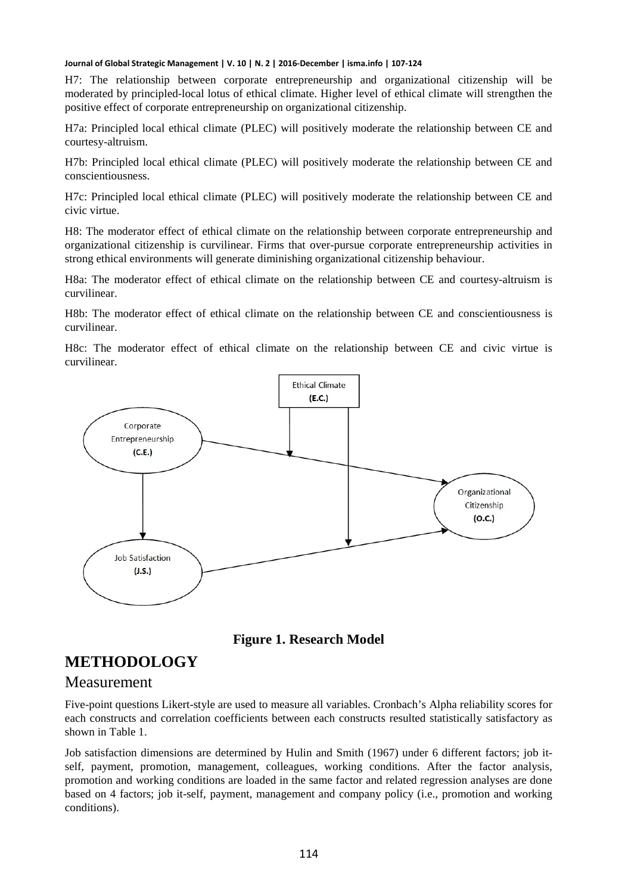H7: The relationship between corporate entrepreneurship and organizational citizenship will be moderated by principled-local lotus of ethical climate. Higher level of ethical climate will strengthen the positive effect of corporate entrepreneurship on organizational citizenship.

H7a: Principled local ethical climate (PLEC) will positively moderate the relationship between CE and courtesy-altruism.

H7b: Principled local ethical climate (PLEC) will positively moderate the relationship between CE and conscientiousness.

H7c: Principled local ethical climate (PLEC) will positively moderate the relationship between CE and civic virtue.

H8: The moderator effect of ethical climate on the relationship between corporate entrepreneurship and organizational citizenship is curvilinear. Firms that over-pursue corporate entrepreneurship activities in strong ethical environments will generate diminishing organizational citizenship behaviour.

H8a: The moderator effect of ethical climate on the relationship between CE and courtesy-altruism is curvilinear.

H8b: The moderator effect of ethical climate on the relationship between CE and conscientiousness is curvilinear.

H8c: The moderator effect of ethical climate on the relationship between CE and civic virtue is curvilinear.



**Figure 1. Research Model**

### **METHODOLOGY**

### Measurement

Five-point questions Likert-style are used to measure all variables. Cronbach's Alpha reliability scores for each constructs and correlation coefficients between each constructs resulted statistically satisfactory as shown in Table 1.

Job satisfaction dimensions are determined by Hulin and Smith (1967) under 6 different factors; job itself, payment, promotion, management, colleagues, working conditions. After the factor analysis, promotion and working conditions are loaded in the same factor and related regression analyses are done based on 4 factors; job it-self, payment, management and company policy (i.e., promotion and working conditions).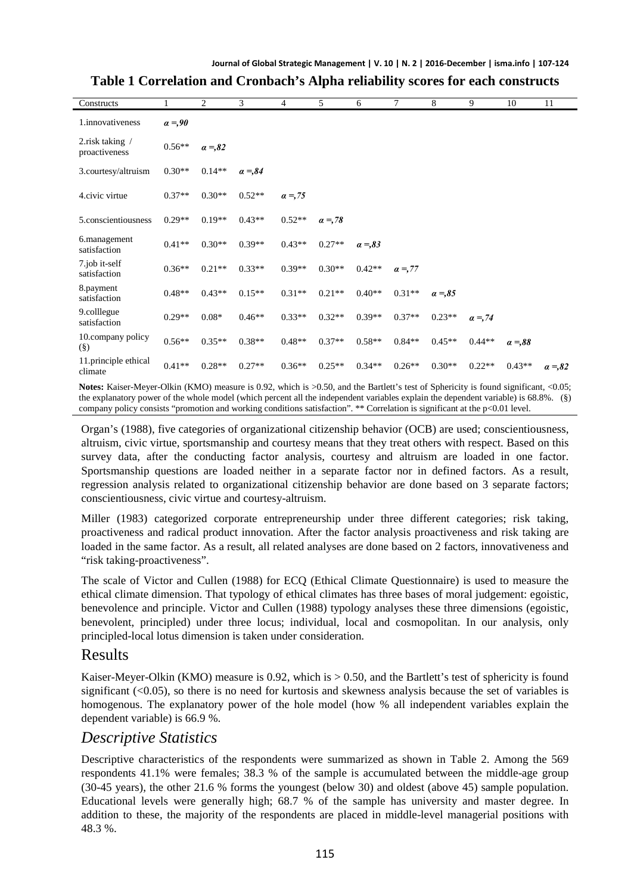| Constructs                                 | 1             | $\overline{c}$ | 3             | 4             | 5             | 6             | $\tau$   | 8               | 9        | 10            | 11            |
|--------------------------------------------|---------------|----------------|---------------|---------------|---------------|---------------|----------|-----------------|----------|---------------|---------------|
| 1.innovativeness                           | $\alpha = 90$ |                |               |               |               |               |          |                 |          |               |               |
| 2. risk taking $\sqrt{ }$<br>proactiveness | $0.56**$      | $a = 0.82$     |               |               |               |               |          |                 |          |               |               |
| 3.courtesy/altruism                        | $0.30**$      | $0.14**$       | $\alpha = 84$ |               |               |               |          |                 |          |               |               |
| 4.civic virtue                             | $0.37**$      | $0.30**$       | $0.52**$      | $\alpha = 75$ |               |               |          |                 |          |               |               |
| 5.conscientiousness                        | $0.29**$      | $0.19**$       | $0.43**$      | $0.52**$      | $\alpha = 78$ |               |          |                 |          |               |               |
| 6.management<br>satisfaction               | $0.41**$      | $0.30**$       | $0.39**$      | $0.43**$      | $0.27**$      | $\alpha = 83$ |          |                 |          |               |               |
| 7.job it-self<br>satisfaction              | $0.36**$      | $0.21**$       | $0.33**$      | $0.39**$      | $0.30**$      | $0.42**$      | $a = 77$ |                 |          |               |               |
| 8.payment<br>satisfaction                  | $0.48**$      | $0.43**$       | $0.15**$      | $0.31**$      | $0.21**$      | $0.40**$      | $0.31**$ | $\alpha = 0.85$ |          |               |               |
| 9.colllegue<br>satisfaction                | $0.29**$      | $0.08*$        | $0.46**$      | $0.33**$      | $0.32**$      | $0.39**$      | $0.37**$ | $0.23**$        | $a = 74$ |               |               |
| 10.company policy<br>$(\S)$                | $0.56**$      | $0.35**$       | $0.38**$      | $0.48**$      | $0.37**$      | $0.58**$      | $0.84**$ | $0.45**$        | $0.44**$ | $\alpha = 88$ |               |
| 11.principle ethical<br>climate            | $0.41**$      | $0.28**$       | $0.27**$      | $0.36**$      | $0.25**$      | $0.34**$      | $0.26**$ | $0.30**$        | $0.22**$ | $0.43**$      | $\alpha = 82$ |

### **Table 1 Correlation and Cronbach's Alpha reliability scores for each constructs**

Notes: Kaiser-Meyer-Olkin (KMO) measure is 0.92, which is  $>0.50$ , and the Bartlett's test of Sphericity is found significant, <0.05; the explanatory power of the whole model (which percent all the independent variables explain the dependent variable) is 68.8%. (§) company policy consists "promotion and working conditions satisfaction". \*\* Correlation is significant at the p<0.01 level.

Organ's (1988), five categories of organizational citizenship behavior (OCB) are used; conscientiousness, altruism, civic virtue, sportsmanship and courtesy means that they treat others with respect. Based on this survey data, after the conducting factor analysis, courtesy and altruism are loaded in one factor. Sportsmanship questions are loaded neither in a separate factor nor in defined factors. As a result, regression analysis related to organizational citizenship behavior are done based on 3 separate factors; conscientiousness, civic virtue and courtesy-altruism.

Miller (1983) categorized corporate entrepreneurship under three different categories; risk taking, proactiveness and radical product innovation. After the factor analysis proactiveness and risk taking are loaded in the same factor. As a result, all related analyses are done based on 2 factors, innovativeness and "risk taking-proactiveness".

The scale of Victor and Cullen (1988) for ECQ (Ethical Climate Questionnaire) is used to measure the ethical climate dimension. That typology of ethical climates has three bases of moral judgement: egoistic, benevolence and principle. Victor and Cullen (1988) typology analyses these three dimensions (egoistic, benevolent, principled) under three locus; individual, local and cosmopolitan. In our analysis, only principled-local lotus dimension is taken under consideration.

### Results

Kaiser-Meyer-Olkin (KMO) measure is  $0.92$ , which is  $> 0.50$ , and the Bartlett's test of sphericity is found significant (<0.05), so there is no need for kurtosis and skewness analysis because the set of variables is homogenous. The explanatory power of the hole model (how % all independent variables explain the dependent variable) is 66.9 %.

### *Descriptive Statistics*

Descriptive characteristics of the respondents were summarized as shown in Table 2. Among the 569 respondents 41.1% were females; 38.3 % of the sample is accumulated between the middle-age group (30-45 years), the other 21.6 % forms the youngest (below 30) and oldest (above 45) sample population. Educational levels were generally high; 68.7 % of the sample has university and master degree. In addition to these, the majority of the respondents are placed in middle-level managerial positions with 48.3 %.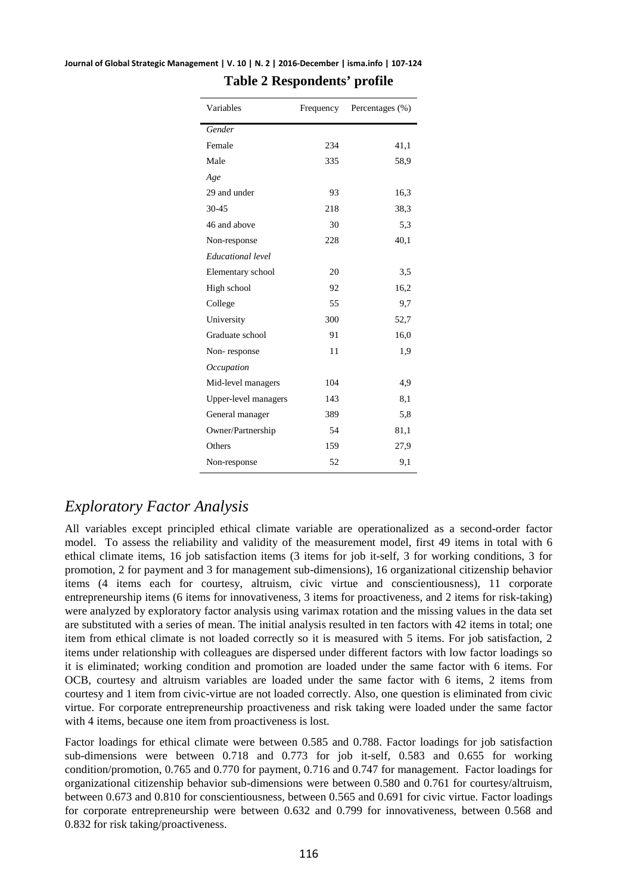| Variables            | Frequency | Percentages (%) |
|----------------------|-----------|-----------------|
| Gender               |           |                 |
| Female               | 234       | 41,1            |
| Male                 | 335       | 58.9            |
| Age                  |           |                 |
| 29 and under         | 93        | 16,3            |
| 30-45                | 218       | 38,3            |
| 46 and above         | 30        | 5,3             |
| Non-response         | 228       | 40,1            |
| Educational level    |           |                 |
| Elementary school    | 20        | 3,5             |
| High school          | 92        | 16,2            |
| College              | 55        | 9,7             |
| University           | 300       | 52,7            |
| Graduate school      | 91        | 16,0            |
| Non-response         | 11        | 1,9             |
| Occupation           |           |                 |
| Mid-level managers   | 104       | 4,9             |
| Upper-level managers | 143       | 8,1             |
| General manager      | 389       | 5,8             |
| Owner/Partnership    | 54        | 81,1            |
| Others               | 159       | 27,9            |
| Non-response         | 52        | 9,1             |

#### **Journal of Global Strategic Management | V. 10 | N. 2 | 2016-December | isma.info | 107-124 Table 2 Respondents' profile**

# *Exploratory Factor Analysis*

All variables except principled ethical climate variable are operationalized as a second-order factor model. To assess the reliability and validity of the measurement model, first 49 items in total with 6 ethical climate items, 16 job satisfaction items (3 items for job it-self, 3 for working conditions, 3 for promotion, 2 for payment and 3 for management sub-dimensions), 16 organizational citizenship behavior items (4 items each for courtesy, altruism, civic virtue and conscientiousness), 11 corporate entrepreneurship items (6 items for innovativeness, 3 items for proactiveness, and 2 items for risk-taking) were analyzed by exploratory factor analysis using varimax rotation and the missing values in the data set are substituted with a series of mean. The initial analysis resulted in ten factors with 42 items in total; one item from ethical climate is not loaded correctly so it is measured with 5 items. For job satisfaction, 2 items under relationship with colleagues are dispersed under different factors with low factor loadings so it is eliminated; working condition and promotion are loaded under the same factor with 6 items. For OCB, courtesy and altruism variables are loaded under the same factor with 6 items, 2 items from courtesy and 1 item from civic-virtue are not loaded correctly. Also, one question is eliminated from civic virtue. For corporate entrepreneurship proactiveness and risk taking were loaded under the same factor with 4 items, because one item from proactiveness is lost.

Factor loadings for ethical climate were between 0.585 and 0.788. Factor loadings for job satisfaction sub-dimensions were between 0.718 and 0.773 for job it-self, 0.583 and 0.655 for working condition/promotion, 0.765 and 0.770 for payment, 0.716 and 0.747 for management. Factor loadings for organizational citizenship behavior sub-dimensions were between 0.580 and 0.761 for courtesy/altruism, between 0.673 and 0.810 for conscientiousness, between 0.565 and 0.691 for civic virtue. Factor loadings for corporate entrepreneurship were between 0.632 and 0.799 for innovativeness, between 0.568 and 0.832 for risk taking/proactiveness.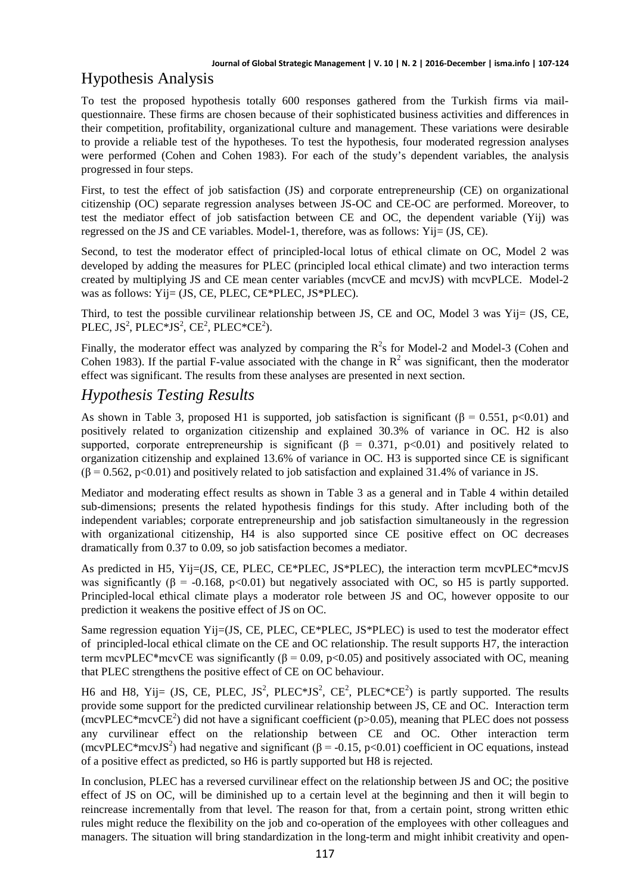# Hypothesis Analysis

To test the proposed hypothesis totally 600 responses gathered from the Turkish firms via mailquestionnaire. These firms are chosen because of their sophisticated business activities and differences in their competition, profitability, organizational culture and management. These variations were desirable to provide a reliable test of the hypotheses. To test the hypothesis, four moderated regression analyses were performed (Cohen and Cohen 1983). For each of the study's dependent variables, the analysis progressed in four steps.

First, to test the effect of job satisfaction (JS) and corporate entrepreneurship (CE) on organizational citizenship (OC) separate regression analyses between JS-OC and CE-OC are performed. Moreover, to test the mediator effect of job satisfaction between CE and OC, the dependent variable (Yij) was regressed on the JS and CE variables. Model-1, therefore, was as follows: Yij= (JS, CE).

Second, to test the moderator effect of principled-local lotus of ethical climate on OC, Model 2 was developed by adding the measures for PLEC (principled local ethical climate) and two interaction terms created by multiplying JS and CE mean center variables (mcvCE and mcvJS) with mcvPLCE. Model-2 was as follows: Yij= (JS, CE, PLEC, CE\*PLEC, JS\*PLEC).

Third, to test the possible curvilinear relationship between JS, CE and OC, Model 3 was Yij= (JS, CE, PLEC, JS<sup>2</sup>, PLEC\*JS<sup>2</sup>, CE<sup>2</sup>, PLEC\*CE<sup>2</sup>).

Finally, the moderator effect was analyzed by comparing the  $R^2$ s for Model-2 and Model-3 (Cohen and Cohen 1983). If the partial F-value associated with the change in  $\mathbb{R}^2$  was significant, then the moderator effect was significant. The results from these analyses are presented in next section.

## *Hypothesis Testing Results*

As shown in Table 3, proposed H1 is supported, job satisfaction is significant ( $\beta = 0.551$ , p<0.01) and positively related to organization citizenship and explained 30.3% of variance in OC. H2 is also supported, corporate entrepreneurship is significant ( $\beta = 0.371$ , p<0.01) and positively related to organization citizenship and explained 13.6% of variance in OC. H3 is supported since CE is significant  $(\beta = 0.562, p < 0.01)$  and positively related to job satisfaction and explained 31.4% of variance in JS.

Mediator and moderating effect results as shown in Table 3 as a general and in Table 4 within detailed sub-dimensions; presents the related hypothesis findings for this study. After including both of the independent variables; corporate entrepreneurship and job satisfaction simultaneously in the regression with organizational citizenship, H4 is also supported since CE positive effect on OC decreases dramatically from 0.37 to 0.09, so job satisfaction becomes a mediator.

As predicted in H5, Yij=(JS, CE, PLEC, CE\*PLEC, JS\*PLEC), the interaction term mcvPLEC\*mcvJS was significantly (β = -0.168, p<0.01) but negatively associated with OC, so H5 is partly supported. Principled-local ethical climate plays a moderator role between JS and OC, however opposite to our prediction it weakens the positive effect of JS on OC.

Same regression equation Yij=(JS, CE, PLEC, CE\*PLEC, JS\*PLEC) is used to test the moderator effect of principled-local ethical climate on the CE and OC relationship. The result supports H7, the interaction term mcvPLEC\*mcvCE was significantly ( $β = 0.09$ ,  $p < 0.05$ ) and positively associated with OC, meaning that PLEC strengthens the positive effect of CE on OC behaviour.

H6 and H8, Yij= (JS, CE, PLEC, JS<sup>2</sup>, PLEC\*JS<sup>2</sup>, CE<sup>2</sup>, PLEC\*CE<sup>2</sup>) is partly supported. The results provide some support for the predicted curvilinear relationship between JS, CE and OC. Interaction term (mcvPLEC\*mcvCE<sup>2</sup>) did not have a significant coefficient ( $p$ >0.05), meaning that PLEC does not possess any curvilinear effect on the relationship between CE and OC. Other interaction term (mcvPLEC\*mcvJS<sup>2</sup>) had negative and significant ( $\beta$  = -0.15, p<0.01) coefficient in OC equations, instead of a positive effect as predicted, so H6 is partly supported but H8 is rejected.

In conclusion, PLEC has a reversed curvilinear effect on the relationship between JS and OC; the positive effect of JS on OC, will be diminished up to a certain level at the beginning and then it will begin to reincrease incrementally from that level. The reason for that, from a certain point, strong written ethic rules might reduce the flexibility on the job and co-operation of the employees with other colleagues and managers. The situation will bring standardization in the long-term and might inhibit creativity and open-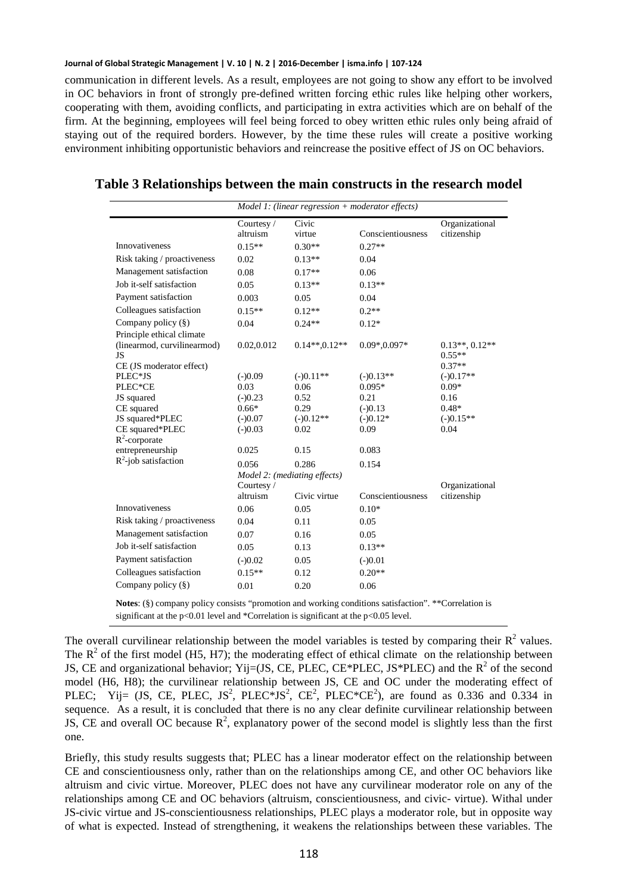communication in different levels. As a result, employees are not going to show any effort to be involved in OC behaviors in front of strongly pre-defined written forcing ethic rules like helping other workers, cooperating with them, avoiding conflicts, and participating in extra activities which are on behalf of the firm. At the beginning, employees will feel being forced to obey written ethic rules only being afraid of staying out of the required borders. However, by the time these rules will create a positive working environment inhibiting opportunistic behaviors and reincrease the positive effect of JS on OC behaviors.

|                                     | $Model 1: (linear regression + moderator effects)$ |                |                   |                      |  |
|-------------------------------------|----------------------------------------------------|----------------|-------------------|----------------------|--|
|                                     | Courtesy /                                         | Civic          |                   | Organizational       |  |
|                                     | altruism                                           | virtue         | Conscientiousness | citizenship          |  |
| <b>Innovativeness</b>               | $0.15**$                                           | $0.30**$       | $0.27**$          |                      |  |
| Risk taking / proactiveness         | 0.02                                               | $0.13**$       | 0.04              |                      |  |
| Management satisfaction             | 0.08                                               | $0.17**$       | 0.06              |                      |  |
| Job it-self satisfaction            | 0.05                                               | $0.13**$       | $0.13**$          |                      |  |
| Payment satisfaction                | 0.003                                              | 0.05           | 0.04              |                      |  |
| Colleagues satisfaction             | $0.15**$                                           | $0.12**$       | $0.2**$           |                      |  |
| Company policy (§)                  | 0.04                                               | $0.24**$       | $0.12*$           |                      |  |
| Principle ethical climate           |                                                    |                |                   |                      |  |
| (linearmod, curvilinearmod)         | 0.02,0.012                                         | $0.14**0.12**$ | $0.09*, 0.097*$   | $0.13**$ , $0.12**$  |  |
| JS                                  |                                                    |                |                   | $0.55**$<br>$0.37**$ |  |
| CE (JS moderator effect)<br>PLEC*JS | $(-)0.09$                                          | $(-)0.11**$    | $(-)0.13**$       | $(-)0.17**$          |  |
| PLEC*CE                             | 0.03                                               | 0.06           | $0.095*$          | $0.09*$              |  |
|                                     | $(-)0.23$                                          | 0.52           | 0.21              | 0.16                 |  |
| JS squared                          | $0.66*$                                            | 0.29           | $(-)0.13$         | $0.48*$              |  |
| CE squared<br>JS squared*PLEC       | $(-)0.07$                                          | $(-)0.12**$    | $(-)0.12*$        | $(-)0.15**$          |  |
| CE squared*PLEC                     |                                                    | 0.02           | 0.09              | 0.04                 |  |
| $R^2$ -corporate                    | $(-)0.03$                                          |                |                   |                      |  |
| entrepreneurship                    | 0.025                                              | 0.15           | 0.083             |                      |  |
| $R^2$ -job satisfaction             | 0.056                                              | 0.286          | 0.154             |                      |  |
|                                     | Model 2: (mediating effects)                       |                |                   |                      |  |
|                                     | Courtesy/                                          |                | Organizational    |                      |  |
|                                     | altruism                                           | Civic virtue   | Conscientiousness | citizenship          |  |
| Innovativeness                      | 0.06                                               | 0.05           | $0.10*$           |                      |  |
| Risk taking / proactiveness         | 0.04                                               | 0.11           | 0.05              |                      |  |
| Management satisfaction             | 0.07                                               | 0.16           | 0.05              |                      |  |
| Job it-self satisfaction            | 0.05                                               | 0.13           | $0.13**$          |                      |  |
| Payment satisfaction                | $(-)0.02$                                          | 0.05           | $(-)0.01$         |                      |  |
| Colleagues satisfaction             | $0.15**$                                           | 0.12           | $0.20**$          |                      |  |
| Company policy (§)                  | 0.01                                               | 0.20           | 0.06              |                      |  |

**Table 3 Relationships between the main constructs in the research model**

**Notes**: (§) company policy consists "promotion and working conditions satisfaction". \*\*Correlation is significant at the p<0.01 level and \*Correlation is significant at the p<0.05 level.

The overall curvilinear relationship between the model variables is tested by comparing their  $R^2$  values. The  $R^2$  of the first model (H5, H7); the moderating effect of ethical climate on the relationship between JS, CE and organizational behavior; Yij=(JS, CE, PLEC, CE\*PLEC, JS\*PLEC) and the  $R^2$  of the second model (H6, H8); the curvilinear relationship between JS, CE and OC under the moderating effect of PLEC; Yij= (JS, CE, PLEC, JS<sup>2</sup>, PLEC\*JS<sup>2</sup>, CE<sup>2</sup>, PLEC\*CE<sup>2</sup>), are found as 0.336 and 0.334 in sequence. As a result, it is concluded that there is no any clear definite curvilinear relationship between JS, CE and overall OC because  $R^2$ , explanatory power of the second model is slightly less than the first one.

Briefly, this study results suggests that; PLEC has a linear moderator effect on the relationship between CE and conscientiousness only, rather than on the relationships among CE, and other OC behaviors like altruism and civic virtue. Moreover, PLEC does not have any curvilinear moderator role on any of the relationships among CE and OC behaviors (altruism, conscientiousness, and civic- virtue). Withal under JS-civic virtue and JS-conscientiousness relationships, PLEC plays a moderator role, but in opposite way of what is expected. Instead of strengthening, it weakens the relationships between these variables. The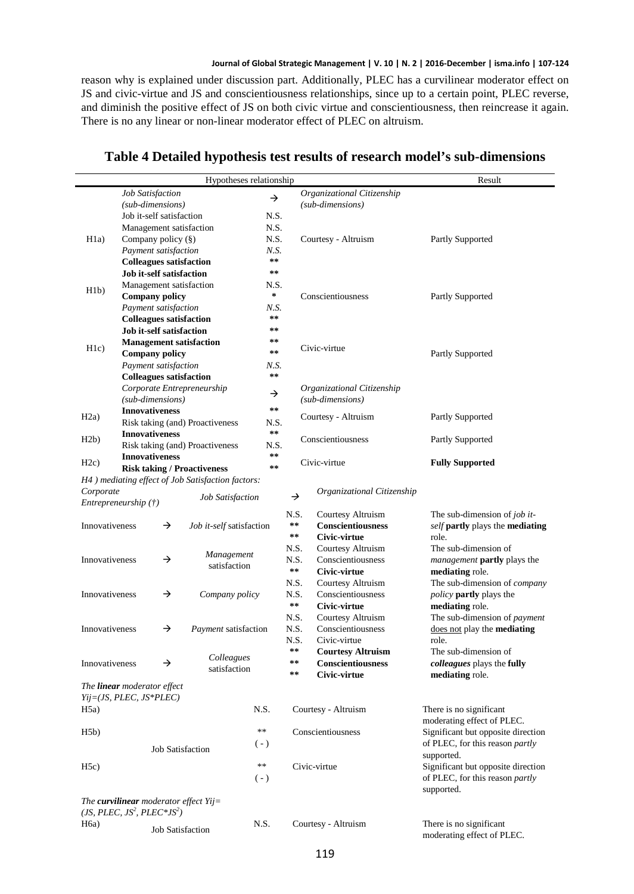reason why is explained under discussion part. Additionally, PLEC has a curvilinear moderator effect on JS and civic-virtue and JS and conscientiousness relationships, since up to a certain point, PLEC reverse, and diminish the positive effect of JS on both civic virtue and conscientiousness, then reincrease it again. There is no any linear or non-linear moderator effect of PLEC on altruism.

|                                 |                                    |                     | Hypotheses relationship                           |                                             |               |                            | Result                              |
|---------------------------------|------------------------------------|---------------------|---------------------------------------------------|---------------------------------------------|---------------|----------------------------|-------------------------------------|
| Job Satisfaction                |                                    |                     |                                                   | Organizational Citizenship<br>$\rightarrow$ |               |                            |                                     |
|                                 | (sub-dimensions)                   |                     |                                                   |                                             |               | (sub-dimensions)           |                                     |
|                                 | Job it-self satisfaction           |                     |                                                   | N.S.                                        |               |                            |                                     |
|                                 | Management satisfaction            |                     |                                                   | N.S.                                        |               |                            |                                     |
| H1a)                            | Company policy $(\S)$              |                     |                                                   |                                             | N.S.          | Courtesy - Altruism        | Partly Supported                    |
|                                 | Payment satisfaction               |                     |                                                   |                                             | N.S.          |                            |                                     |
| <b>Colleagues satisfaction</b>  |                                    |                     |                                                   | $\star\star$                                |               |                            |                                     |
| <b>Job it-self satisfaction</b> |                                    |                     |                                                   | $* *$                                       |               |                            |                                     |
|                                 | Management satisfaction            |                     |                                                   |                                             | N.S.          |                            |                                     |
| H1b)                            | <b>Company policy</b>              |                     |                                                   | $\ast$                                      |               | Conscientiousness          | Partly Supported                    |
|                                 | Payment satisfaction               |                     |                                                   | N.S.                                        |               |                            |                                     |
|                                 |                                    |                     | <b>Colleagues satisfaction</b>                    | $* *$                                       |               |                            |                                     |
|                                 | Job it-self satisfaction           |                     |                                                   | $* *$                                       |               |                            |                                     |
|                                 |                                    |                     | <b>Management satisfaction</b>                    | $***$                                       |               |                            |                                     |
| H1c)                            | <b>Company policy</b>              |                     |                                                   | $\pm\,\pm$                                  |               | Civic-virtue               | Partly Supported                    |
|                                 | Payment satisfaction               |                     |                                                   | N.S.                                        |               |                            |                                     |
|                                 |                                    |                     | <b>Colleagues satisfaction</b>                    | $* *$                                       |               |                            |                                     |
|                                 |                                    |                     |                                                   |                                             |               |                            |                                     |
|                                 |                                    |                     | Corporate Entrepreneurship                        | →                                           |               | Organizational Citizenship |                                     |
|                                 | (sub-dimensions)                   |                     |                                                   | $* *$                                       |               | (sub-dimensions)           |                                     |
| H2a)                            | <b>Innovativeness</b>              |                     |                                                   |                                             |               | Courtesy - Altruism        | Partly Supported                    |
|                                 |                                    |                     | Risk taking (and) Proactiveness                   | N.S.<br>$\pm\pm$                            |               |                            |                                     |
| H2b)                            | <b>Innovativeness</b>              |                     |                                                   |                                             |               | Conscientiousness          | Partly Supported                    |
|                                 |                                    |                     | Risk taking (and) Proactiveness                   | N.S.                                        |               |                            |                                     |
| H2c)                            | <b>Innovativeness</b>              |                     |                                                   | **<br>$\star\star$                          |               | Civic-virtue               | <b>Fully Supported</b>              |
|                                 |                                    |                     | <b>Risk taking / Proactiveness</b>                |                                             |               |                            |                                     |
|                                 |                                    |                     | H4) mediating effect of Job Satisfaction factors: |                                             |               |                            |                                     |
| Corporate                       |                                    |                     | Job Satisfaction                                  |                                             | $\rightarrow$ | Organizational Citizenship |                                     |
|                                 | Entrepreneurship (†)               |                     |                                                   |                                             |               |                            |                                     |
|                                 |                                    |                     |                                                   |                                             | N.S.          | Courtesy Altruism          | The sub-dimension of job it-        |
|                                 | Innovativeness<br>→                |                     | Job it-self satisfaction                          |                                             | $* *$         | Conscientiousness          | self partly plays the mediating     |
|                                 |                                    |                     |                                                   |                                             | $\star\star$  | Civic-virtue               | role.                               |
|                                 |                                    | Management          |                                                   |                                             | N.S.          | Courtesy Altruism          | The sub-dimension of                |
| Innovativeness                  |                                    | →                   | satisfaction                                      |                                             | N.S.          | Conscientiousness          | management partly plays the         |
|                                 |                                    |                     |                                                   |                                             | $\star\star$  | Civic-virtue               | mediating role.                     |
|                                 |                                    | →<br>Company policy |                                                   |                                             | N.S.          | Courtesy Altruism          | The sub-dimension of <i>company</i> |
| Innovativeness                  |                                    |                     |                                                   |                                             |               | Conscientiousness<br>N.S.  | <i>policy</i> partly plays the      |
|                                 |                                    |                     |                                                   |                                             | $\star\star$  | Civic-virtue               | mediating role.                     |
|                                 |                                    |                     |                                                   |                                             | N.S.          | Courtesy Altruism          | The sub-dimension of payment        |
| Innovativeness                  |                                    | →                   | Payment satisfaction                              |                                             | N.S.          | Conscientiousness          | does not play the mediating         |
|                                 |                                    |                     |                                                   |                                             | N.S.          | Civic-virtue               | role.                               |
|                                 |                                    |                     |                                                   |                                             | $\pm\pm$      | <b>Courtesy Altruism</b>   | The sub-dimension of                |
| Innovativeness                  |                                    | →                   | Colleagues<br>satisfaction                        |                                             | $* *$         | Conscientiousness          | colleagues plays the fully          |
|                                 |                                    |                     |                                                   |                                             | **            | Civic-virtue               | mediating role.                     |
|                                 | The <b>linear</b> moderator effect |                     |                                                   |                                             |               |                            |                                     |
|                                 | Yij=(JS, PLEC, JS*PLEC)            |                     |                                                   |                                             |               |                            |                                     |
| H5a)                            |                                    |                     |                                                   | N.S.                                        |               | Courtesy - Altruism        | There is no significant             |
|                                 |                                    |                     |                                                   |                                             |               |                            | moderating effect of PLEC.          |
| H5b)                            |                                    |                     |                                                   | $\ast\ast$                                  |               | Conscientiousness          | Significant but opposite direction  |
|                                 |                                    |                     |                                                   | $(-)$                                       |               |                            | of PLEC, for this reason partly     |
|                                 |                                    |                     | <b>Job Satisfaction</b>                           |                                             |               |                            | supported.                          |
| H5c)                            |                                    |                     |                                                   | **                                          |               | Civic-virtue               | Significant but opposite direction  |
|                                 |                                    |                     |                                                   | $(-)$                                       |               |                            | of PLEC, for this reason partly     |
|                                 |                                    |                     |                                                   |                                             |               |                            | supported.                          |
|                                 |                                    |                     | The curvilinear moderator effect $Yij=$           |                                             |               |                            |                                     |
|                                 |                                    |                     |                                                   |                                             |               |                            |                                     |

#### **Table 4 Detailed hypothesis test results of research model's sub-dimensions**

*(JS, PLEC, JS<sup>2</sup> , PLEC\*JS<sup>2</sup> )* H6a) Job Satisfaction N.S. Courtesy - Altruism There is no significant

moderating effect of PLEC.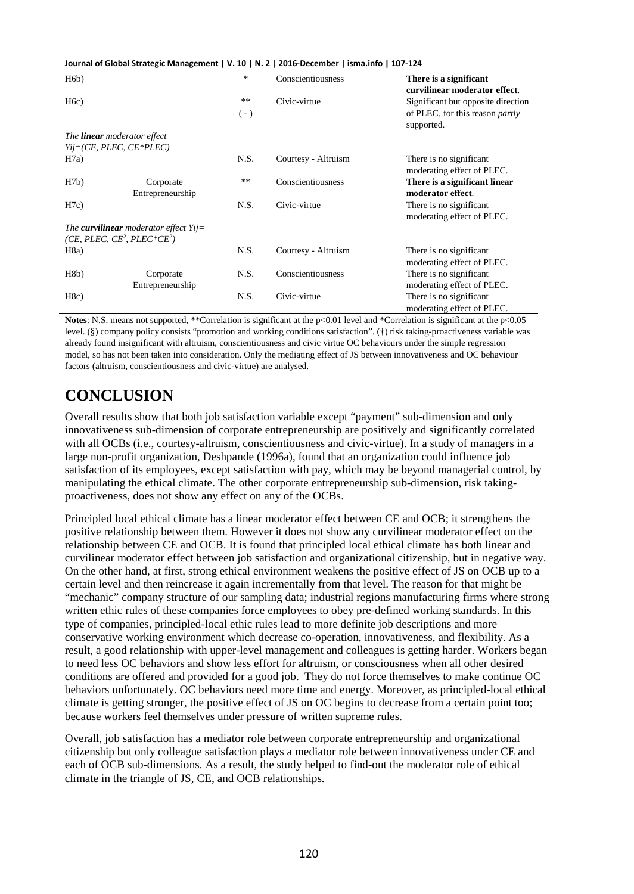| H6b)                                                |                                                 | *           | Conscientiousness   | There is a significant<br>curvilinear moderator effect.                                    |
|-----------------------------------------------------|-------------------------------------------------|-------------|---------------------|--------------------------------------------------------------------------------------------|
| H6c)                                                |                                                 | **<br>$(-)$ | Civic-virtue        | Significant but opposite direction<br>of PLEC, for this reason <i>partly</i><br>supported. |
| The <b>linear</b> moderator effect                  |                                                 |             |                     |                                                                                            |
| $Yij=(CE, PLEC, CE*PLEC)$                           |                                                 |             |                     |                                                                                            |
| H7a)                                                |                                                 | N.S.        | Courtesy - Altruism | There is no significant<br>moderating effect of PLEC.                                      |
| H7b)                                                | Corporate<br>Entrepreneurship                   | **          | Conscientiousness   | There is a significant linear<br>moderator effect.                                         |
| H7c)                                                |                                                 | N.S.        | Civic-virtue        | There is no significant.<br>moderating effect of PLEC.                                     |
| (CE, PLEC, CE <sup>2</sup> , PLEC*CE <sup>2</sup> ) | The <b>curvilinear</b> moderator effect $Yij =$ |             |                     |                                                                                            |
| H8a)                                                |                                                 | N.S.        | Courtesy - Altruism | There is no significant<br>moderating effect of PLEC.                                      |
| H8b)                                                | Corporate<br>Entrepreneurship                   | N.S.        | Conscientiousness   | There is no significant<br>moderating effect of PLEC.                                      |
| H8c)                                                |                                                 | N.S.        | Civic-virtue        | There is no significant<br>moderating effect of PLEC.                                      |

**Notes**: N.S. means not supported, \*\*Correlation is significant at the p<0.01 level and \*Correlation is significant at the p<0.05 level. (§) company policy consists "promotion and working conditions satisfaction". (†) risk taking-proactiveness variable was already found insignificant with altruism, conscientiousness and civic virtue OC behaviours under the simple regression model, so has not been taken into consideration. Only the mediating effect of JS between innovativeness and OC behaviour factors (altruism, conscientiousness and civic-virtue) are analysed.

## **CONCLUSION**

Overall results show that both job satisfaction variable except "payment" sub-dimension and only innovativeness sub-dimension of corporate entrepreneurship are positively and significantly correlated with all OCBs (i.e., courtesy-altruism, conscientiousness and civic-virtue). In a study of managers in a large non-profit organization, Deshpande (1996a), found that an organization could influence job satisfaction of its employees, except satisfaction with pay, which may be beyond managerial control, by manipulating the ethical climate. The other corporate entrepreneurship sub-dimension, risk takingproactiveness, does not show any effect on any of the OCBs.

Principled local ethical climate has a linear moderator effect between CE and OCB; it strengthens the positive relationship between them. However it does not show any curvilinear moderator effect on the relationship between CE and OCB. It is found that principled local ethical climate has both linear and curvilinear moderator effect between job satisfaction and organizational citizenship, but in negative way. On the other hand, at first, strong ethical environment weakens the positive effect of JS on OCB up to a certain level and then reincrease it again incrementally from that level. The reason for that might be "mechanic" company structure of our sampling data; industrial regions manufacturing firms where strong written ethic rules of these companies force employees to obey pre-defined working standards. In this type of companies, principled-local ethic rules lead to more definite job descriptions and more conservative working environment which decrease co-operation, innovativeness, and flexibility. As a result, a good relationship with upper-level management and colleagues is getting harder. Workers began to need less OC behaviors and show less effort for altruism, or consciousness when all other desired conditions are offered and provided for a good job. They do not force themselves to make continue OC behaviors unfortunately. OC behaviors need more time and energy. Moreover, as principled-local ethical climate is getting stronger, the positive effect of JS on OC begins to decrease from a certain point too; because workers feel themselves under pressure of written supreme rules.

Overall, job satisfaction has a mediator role between corporate entrepreneurship and organizational citizenship but only colleague satisfaction plays a mediator role between innovativeness under CE and each of OCB sub-dimensions. As a result, the study helped to find-out the moderator role of ethical climate in the triangle of JS, CE, and OCB relationships.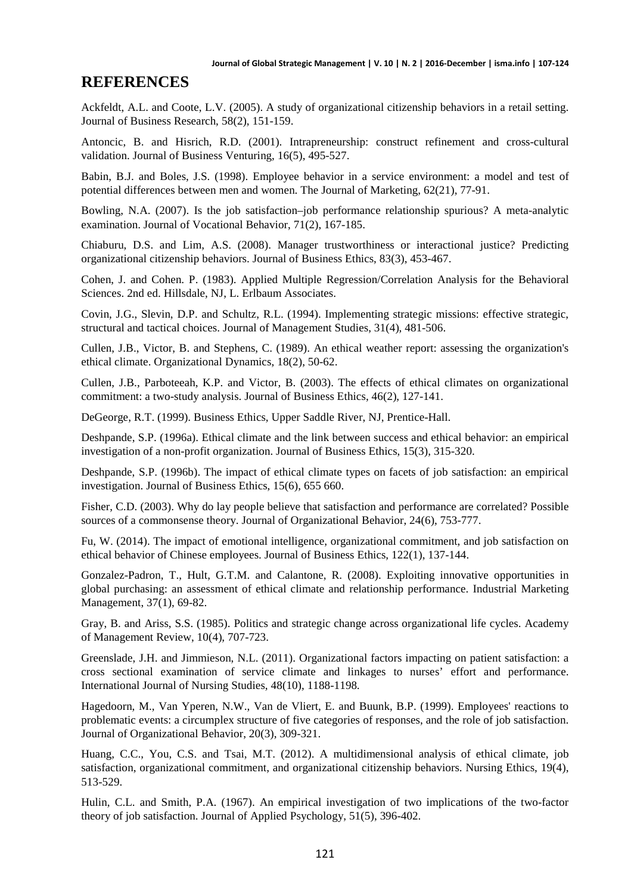### **REFERENCES**

Ackfeldt, A.L. and Coote, L.V. (2005). A study of organizational citizenship behaviors in a retail setting. Journal of Business Research, 58(2), 151-159.

Antoncic, B. and Hisrich, R.D. (2001). Intrapreneurship: construct refinement and cross-cultural validation. Journal of Business Venturing, 16(5), 495-527.

Babin, B.J. and Boles, J.S. (1998). Employee behavior in a service environment: a model and test of potential differences between men and women. The Journal of Marketing, 62(21), 77-91.

Bowling, N.A. (2007). Is the job satisfaction–job performance relationship spurious? A meta-analytic examination. Journal of Vocational Behavior, 71(2), 167-185.

Chiaburu, D.S. and Lim, A.S. (2008). Manager trustworthiness or interactional justice? Predicting organizational citizenship behaviors. Journal of Business Ethics, 83(3), 453-467.

Cohen, J. and Cohen. P. (1983). Applied Multiple Regression/Correlation Analysis for the Behavioral Sciences. 2nd ed. Hillsdale, NJ, L. Erlbaum Associates.

Covin, J.G., Slevin, D.P. and Schultz, R.L. (1994). Implementing strategic missions: effective strategic, structural and tactical choices. Journal of Management Studies, 31(4), 481-506.

Cullen, J.B., Victor, B. and Stephens, C. (1989). An ethical weather report: assessing the organization's ethical climate. Organizational Dynamics, 18(2), 50-62.

Cullen, J.B., Parboteeah, K.P. and Victor, B. (2003). The effects of ethical climates on organizational commitment: a two-study analysis. Journal of Business Ethics, 46(2), 127-141.

DeGeorge, R.T. (1999). Business Ethics, Upper Saddle River, NJ, Prentice-Hall.

Deshpande, S.P. (1996a). Ethical climate and the link between success and ethical behavior: an empirical investigation of a non-profit organization. Journal of Business Ethics, 15(3), 315-320.

Deshpande, S.P. (1996b). The impact of ethical climate types on facets of job satisfaction: an empirical investigation. Journal of Business Ethics, 15(6), 655 660.

Fisher, C.D. (2003). Why do lay people believe that satisfaction and performance are correlated? Possible sources of a commonsense theory. Journal of Organizational Behavior, 24(6), 753-777.

Fu, W. (2014). The impact of emotional intelligence, organizational commitment, and job satisfaction on ethical behavior of Chinese employees. Journal of Business Ethics, 122(1), 137-144.

Gonzalez-Padron, T., Hult, G.T.M. and Calantone, R. (2008). Exploiting innovative opportunities in global purchasing: an assessment of ethical climate and relationship performance. Industrial Marketing Management, 37(1), 69-82.

Gray, B. and Ariss, S.S. (1985). Politics and strategic change across organizational life cycles. Academy of Management Review, 10(4), 707-723.

Greenslade, J.H. and Jimmieson, N.L. (2011). Organizational factors impacting on patient satisfaction: a cross sectional examination of service climate and linkages to nurses' effort and performance. International Journal of Nursing Studies, 48(10), 1188-1198.

Hagedoorn, M., Van Yperen, N.W., Van de Vliert, E. and Buunk, B.P. (1999). Employees' reactions to problematic events: a circumplex structure of five categories of responses, and the role of job satisfaction. Journal of Organizational Behavior, 20(3), 309-321.

Huang, C.C., You, C.S. and Tsai, M.T. (2012). A multidimensional analysis of ethical climate, job satisfaction, organizational commitment, and organizational citizenship behaviors. Nursing Ethics, 19(4), 513-529.

Hulin, C.L. and Smith, P.A. (1967). An empirical investigation of two implications of the two-factor theory of job satisfaction. Journal of Applied Psychology, 51(5), 396-402.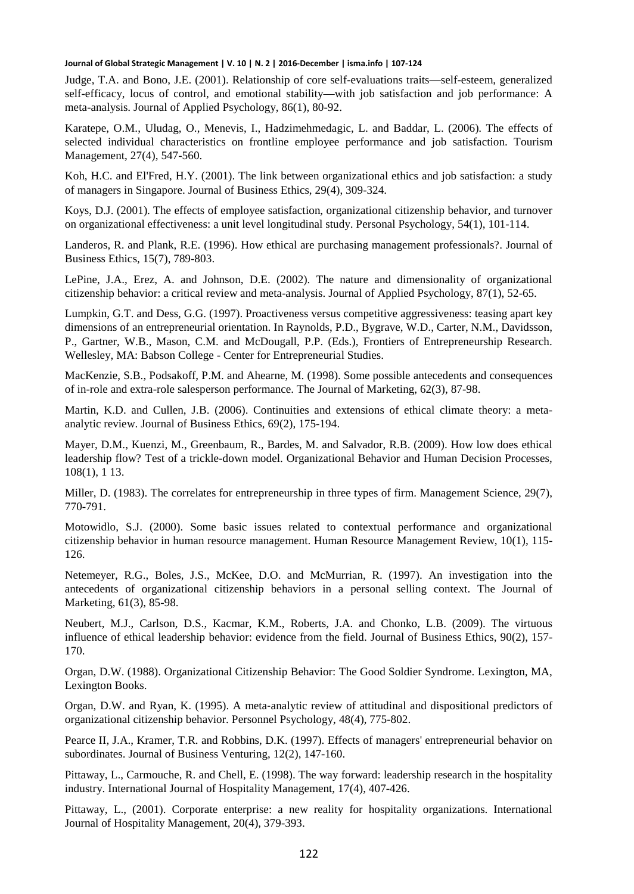Judge, T.A. and Bono, J.E. (2001). Relationship of core self-evaluations traits—self-esteem, generalized self-efficacy, locus of control, and emotional stability—with job satisfaction and job performance: A meta-analysis. Journal of Applied Psychology, 86(1), 80-92.

Karatepe, O.M., Uludag, O., Menevis, I., Hadzimehmedagic, L. and Baddar, L. (2006). The effects of selected individual characteristics on frontline employee performance and job satisfaction. Tourism Management, 27(4), 547-560.

Koh, H.C. and El'Fred, H.Y. (2001). The link between organizational ethics and job satisfaction: a study of managers in Singapore. Journal of Business Ethics, 29(4), 309-324.

Koys, D.J. (2001). The effects of employee satisfaction, organizational citizenship behavior, and turnover on organizational effectiveness: a unit level longitudinal study. Personal Psychology, 54(1), 101-114.

Landeros, R. and Plank, R.E. (1996). How ethical are purchasing management professionals?. Journal of Business Ethics, 15(7), 789-803.

LePine, J.A., Erez, A. and Johnson, D.E. (2002). The nature and dimensionality of organizational citizenship behavior: a critical review and meta-analysis. Journal of Applied Psychology, 87(1), 52-65.

Lumpkin, G.T. and Dess, G.G. (1997). Proactiveness versus competitive aggressiveness: teasing apart key dimensions of an entrepreneurial orientation. In Raynolds, P.D., Bygrave, W.D., Carter, N.M., Davidsson, P., Gartner, W.B., Mason, C.M. and McDougall, P.P. (Eds.), Frontiers of Entrepreneurship Research. Wellesley, MA: Babson College - Center for Entrepreneurial Studies.

MacKenzie, S.B., Podsakoff, P.M. and Ahearne, M. (1998). Some possible antecedents and consequences of in-role and extra-role salesperson performance. The Journal of Marketing, 62(3), 87-98.

Martin, K.D. and Cullen, J.B. (2006). Continuities and extensions of ethical climate theory: a metaanalytic review. Journal of Business Ethics, 69(2), 175-194.

Mayer, D.M., Kuenzi, M., Greenbaum, R., Bardes, M. and Salvador, R.B. (2009). How low does ethical leadership flow? Test of a trickle-down model. Organizational Behavior and Human Decision Processes, 108(1), 1 13.

Miller, D. (1983). The correlates for entrepreneurship in three types of firm. Management Science, 29(7), 770-791.

Motowidlo, S.J. (2000). Some basic issues related to contextual performance and organizational citizenship behavior in human resource management. Human Resource Management Review, 10(1), 115- 126.

Netemeyer, R.G., Boles, J.S., McKee, D.O. and McMurrian, R. (1997). An investigation into the antecedents of organizational citizenship behaviors in a personal selling context. The Journal of Marketing, 61(3), 85-98.

Neubert, M.J., Carlson, D.S., Kacmar, K.M., Roberts, J.A. and Chonko, L.B. (2009). The virtuous influence of ethical leadership behavior: evidence from the field. Journal of Business Ethics, 90(2), 157- 170.

Organ, D.W. (1988). Organizational Citizenship Behavior: The Good Soldier Syndrome. Lexington, MA, Lexington Books.

Organ, D.W. and Ryan, K. (1995). A meta‐analytic review of attitudinal and dispositional predictors of organizational citizenship behavior. Personnel Psychology, 48(4), 775-802.

Pearce II, J.A., Kramer, T.R. and Robbins, D.K. (1997). Effects of managers' entrepreneurial behavior on subordinates. Journal of Business Venturing, 12(2), 147-160.

Pittaway, L., Carmouche, R. and Chell, E. (1998). The way forward: leadership research in the hospitality industry. International Journal of Hospitality Management, 17(4), 407-426.

Pittaway, L., (2001). Corporate enterprise: a new reality for hospitality organizations. International Journal of Hospitality Management, 20(4), 379-393.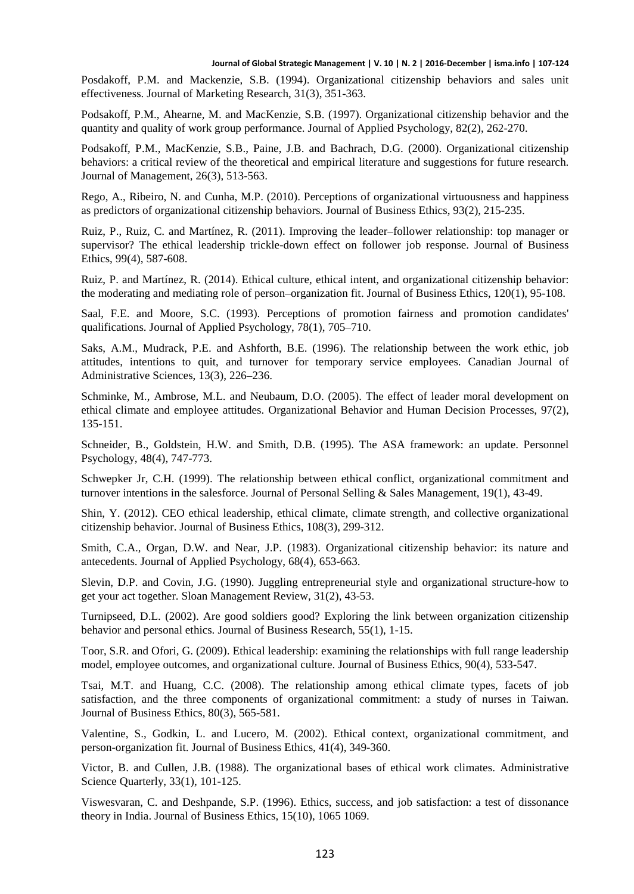Posdakoff, P.M. and Mackenzie, S.B. (1994). Organizational citizenship behaviors and sales unit effectiveness. Journal of Marketing Research, 31(3), 351-363.

Podsakoff, P.M., Ahearne, M. and MacKenzie, S.B. (1997). Organizational citizenship behavior and the quantity and quality of work group performance. Journal of Applied Psychology, 82(2), 262-270.

Podsakoff, P.M., MacKenzie, S.B., Paine, J.B. and Bachrach, D.G. (2000). Organizational citizenship behaviors: a critical review of the theoretical and empirical literature and suggestions for future research. Journal of Management, 26(3), 513-563.

Rego, A., Ribeiro, N. and Cunha, M.P. (2010). Perceptions of organizational virtuousness and happiness as predictors of organizational citizenship behaviors. Journal of Business Ethics, 93(2), 215-235.

Ruiz, P., Ruiz, C. and Martínez, R. (2011). Improving the leader–follower relationship: top manager or supervisor? The ethical leadership trickle-down effect on follower job response. Journal of Business Ethics, 99(4), 587-608.

Ruiz, P. and Martínez, R. (2014). Ethical culture, ethical intent, and organizational citizenship behavior: the moderating and mediating role of person–organization fit. Journal of Business Ethics, 120(1), 95-108.

Saal, F.E. and Moore, S.C. (1993). Perceptions of promotion fairness and promotion candidates' qualifications. Journal of Applied Psychology, 78(1), 705–710.

Saks, A.M., Mudrack, P.E. and Ashforth, B.E. (1996). The relationship between the work ethic, job attitudes, intentions to quit, and turnover for temporary service employees. Canadian Journal of Administrative Sciences, 13(3), 226–236.

Schminke, M., Ambrose, M.L. and Neubaum, D.O. (2005). The effect of leader moral development on ethical climate and employee attitudes. Organizational Behavior and Human Decision Processes, 97(2), 135-151.

Schneider, B., Goldstein, H.W. and Smith, D.B. (1995). The ASA framework: an update. Personnel Psychology, 48(4), 747-773.

Schwepker Jr, C.H. (1999). The relationship between ethical conflict, organizational commitment and turnover intentions in the salesforce. Journal of Personal Selling & Sales Management, 19(1), 43-49.

Shin, Y. (2012). CEO ethical leadership, ethical climate, climate strength, and collective organizational citizenship behavior. Journal of Business Ethics, 108(3), 299-312.

Smith, C.A., Organ, D.W. and Near, J.P. (1983). Organizational citizenship behavior: its nature and antecedents. Journal of Applied Psychology, 68(4), 653-663.

Slevin, D.P. and Covin, J.G. (1990). Juggling entrepreneurial style and organizational structure-how to get your act together. Sloan Management Review, 31(2), 43-53.

Turnipseed, D.L. (2002). Are good soldiers good? Exploring the link between organization citizenship behavior and personal ethics. Journal of Business Research, 55(1), 1-15.

Toor, S.R. and Ofori, G. (2009). Ethical leadership: examining the relationships with full range leadership model, employee outcomes, and organizational culture. Journal of Business Ethics, 90(4), 533-547.

Tsai, M.T. and Huang, C.C. (2008). The relationship among ethical climate types, facets of job satisfaction, and the three components of organizational commitment: a study of nurses in Taiwan. Journal of Business Ethics, 80(3), 565-581.

Valentine, S., Godkin, L. and Lucero, M. (2002). Ethical context, organizational commitment, and person-organization fit. Journal of Business Ethics, 41(4), 349-360.

Victor, B. and Cullen, J.B. (1988). The organizational bases of ethical work climates. Administrative Science Quarterly, 33(1), 101-125.

Viswesvaran, C. and Deshpande, S.P. (1996). Ethics, success, and job satisfaction: a test of dissonance theory in India. Journal of Business Ethics, 15(10), 1065 1069.